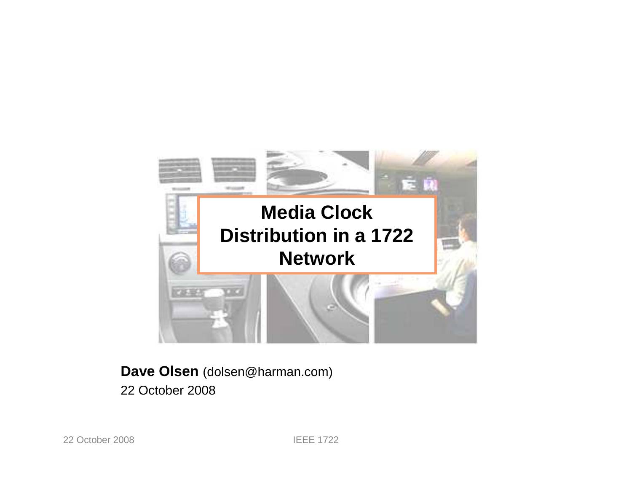

#### **Dave Olsen** (dolsen@harman.com)22 October 2008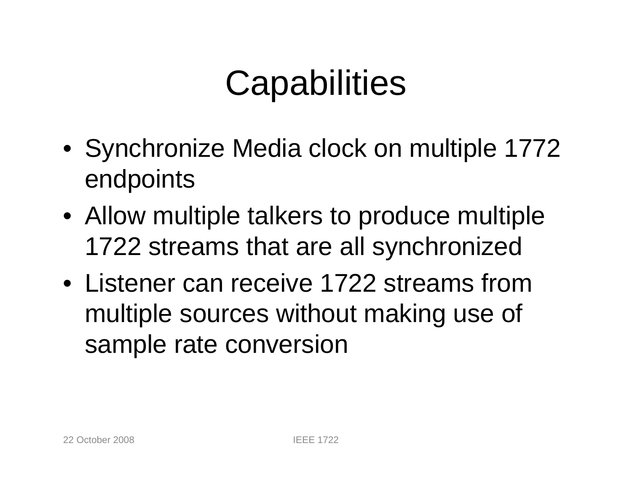## **Capabilities**

- Synchronize Media clock on multiple 1772 endpoints
- Allow multiple talkers to produce multiple 1722 streams that are all synchronized
- Listener can receive 1722 streams from multiple sources without making use of sample rate conversion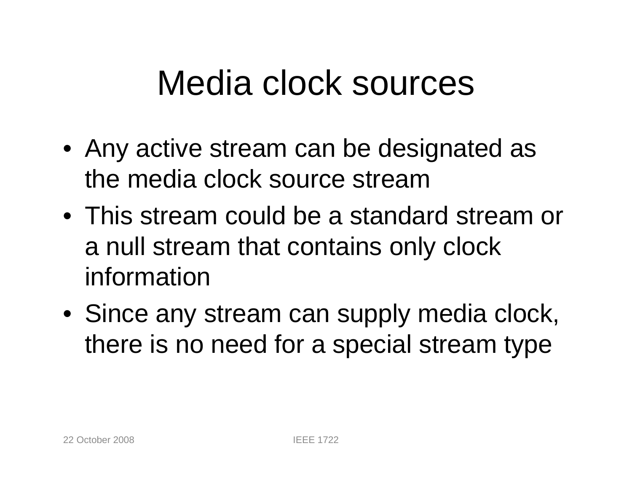#### Media clock sources

- Any active stream can be designated as the media clock source stream
- This stream could be a standard stream or a null stream that contains only clock information
- Since any stream can supply media clock, there is no need for a special stream type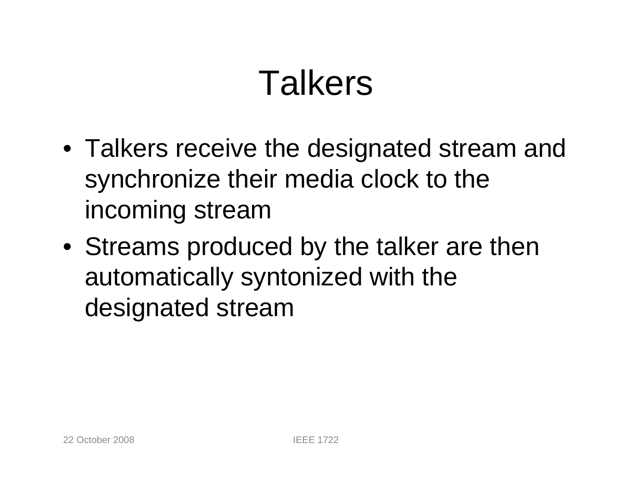## **Talkers**

- Talkers receive the designated stream and synchronize their media clock to the incoming stream
- Streams produced by the talker are then automatically syntonized with the designated stream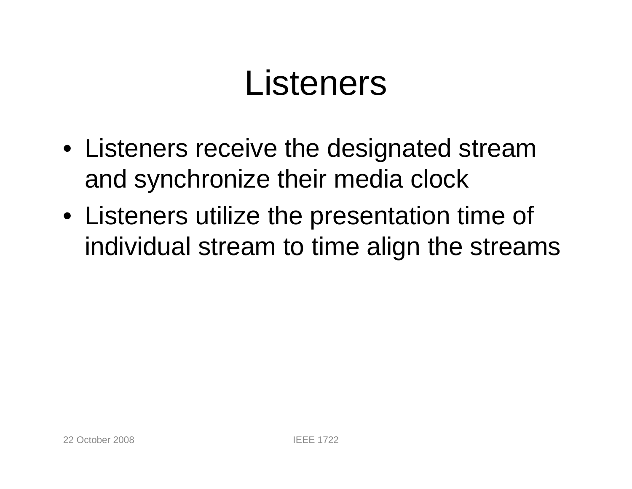## Listeners

- Listeners receive the designated stream and synchronize their media clock
- Listeners utilize the presentation time of individual stream to time align the streams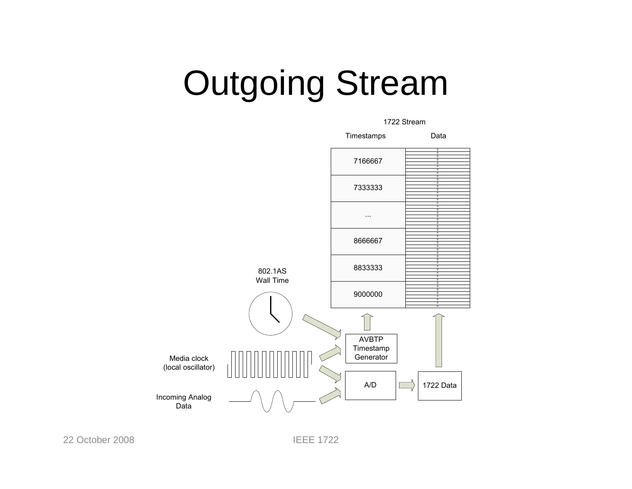# Outgoing Stream



22 October 2008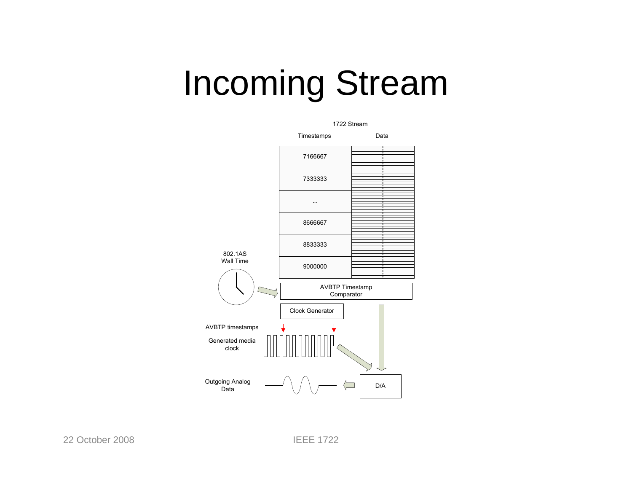## Incoming Stream



22 October 2008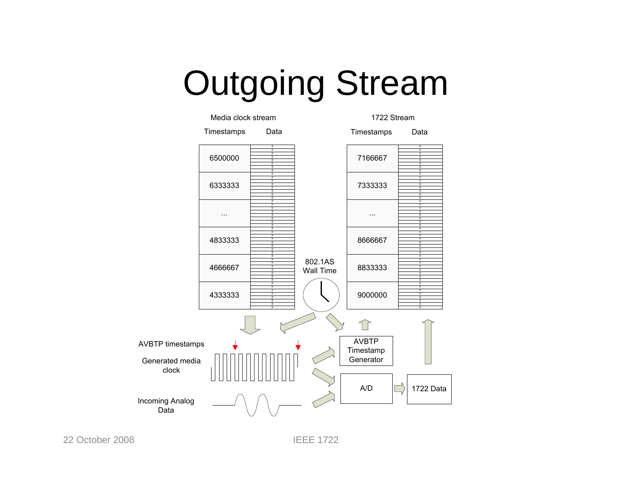Outgoing Stream



22 October 2008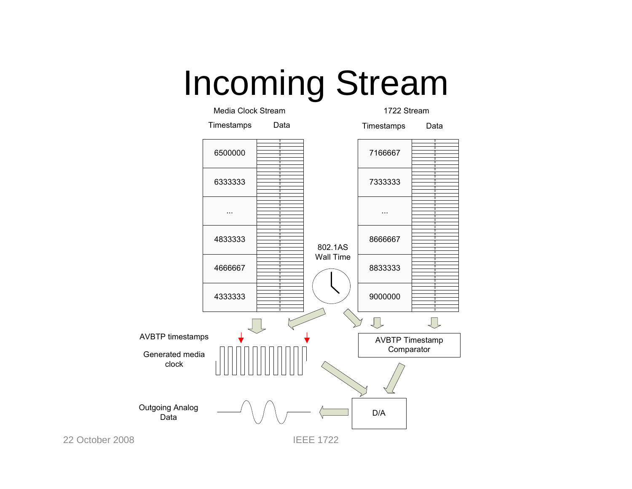Incoming Stream



22 October 2008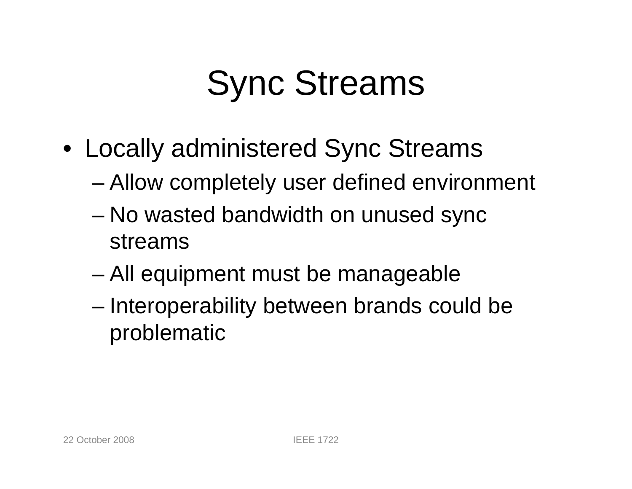- Locally administered Sync Streams
	- Allow completely user defined environment
	- No wasted bandwidth on unused sync streams
	- –All equipment must be manageable
	- – Interoperability between brands could be problematic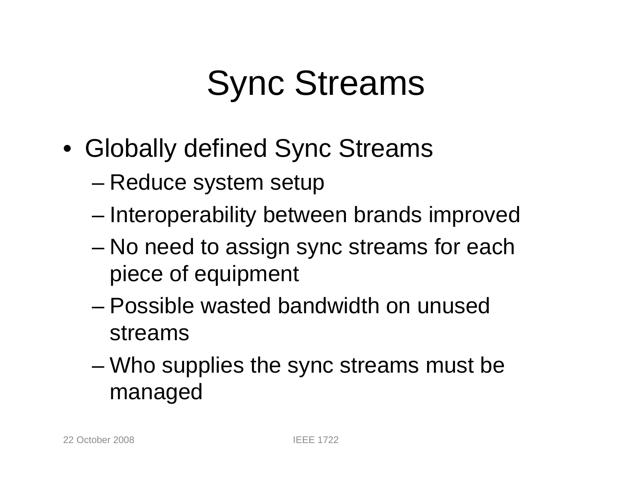- Globally defined Sync Streams
	- Reduce system setup
	- Interoperability between brands improved
	- – No need to assign sync streams for each piece of equipment
	- – Possible wasted bandwidth on unused streams
	- Who supplies the sync streams must be managed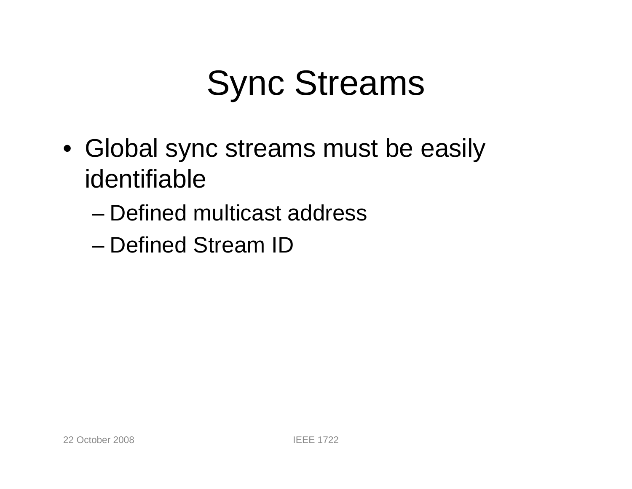- Global sync streams must be easily identifiable
	- –Defined multicast address
	- Defined Stream ID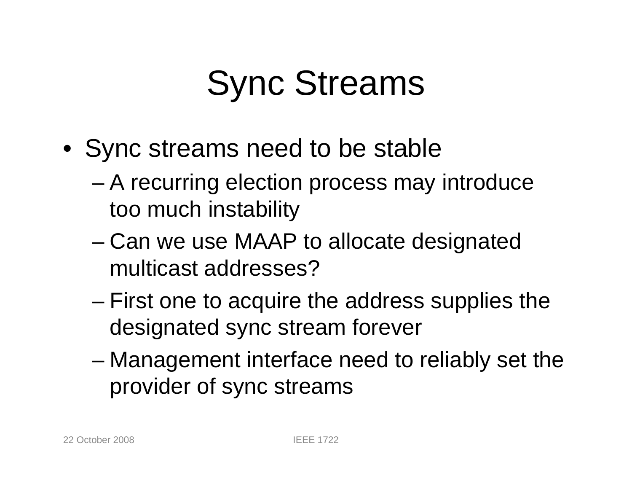- Sync streams need to be stable
	- A recurring election process may introduce too much instability
	- – Can we use MAAP to allocate designated multicast addresses?
	- – First one to acquire the address supplies the designated sync stream forever
	- Management interface need to reliably set the provider of sync streams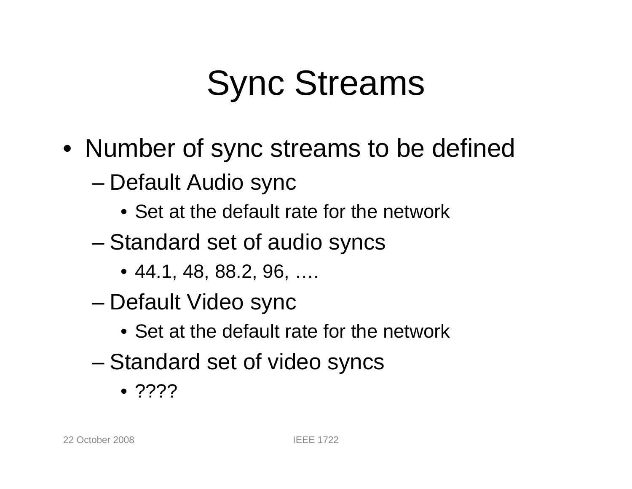- Number of sync streams to be defined
	- Default Audio sync
		- Set at the default rate for the network
	- – Standard set of audio syncs
		- 44.1, 48, 88.2, 96, ….
	- – Default Video sync
		- Set at the default rate for the network
	- – Standard set of video syncs
		- ????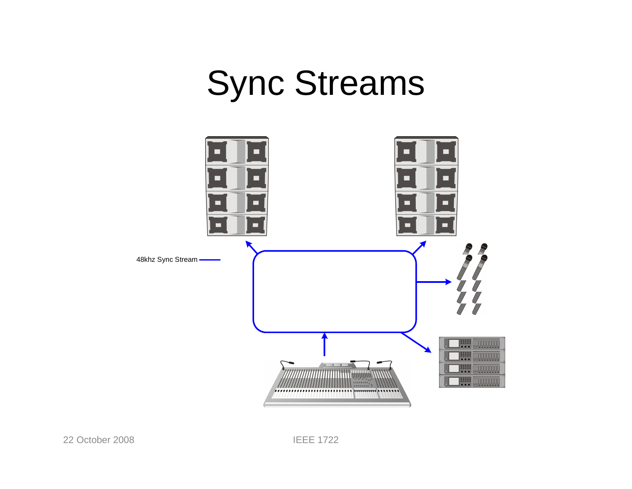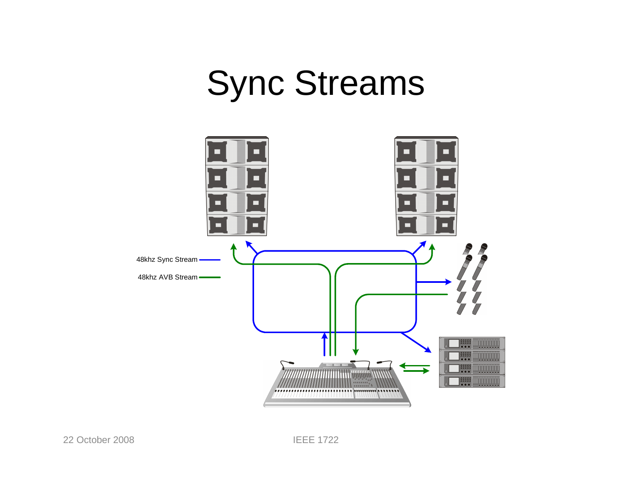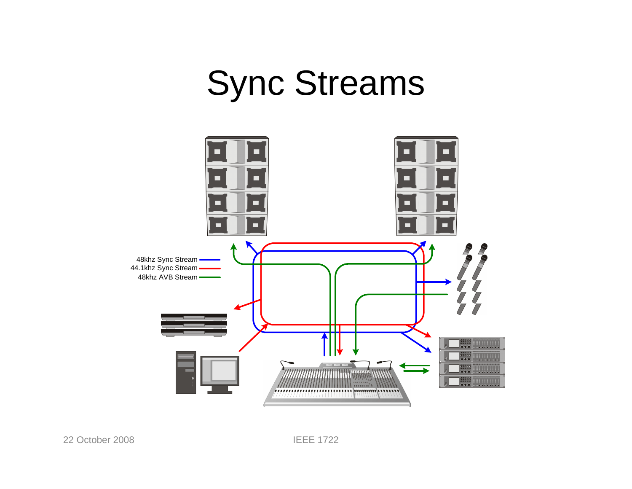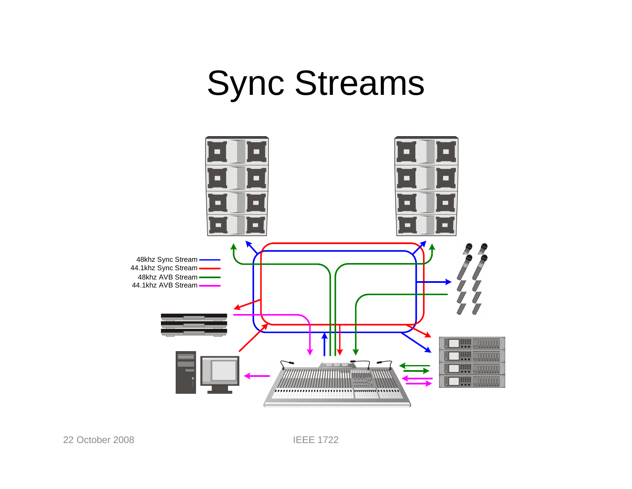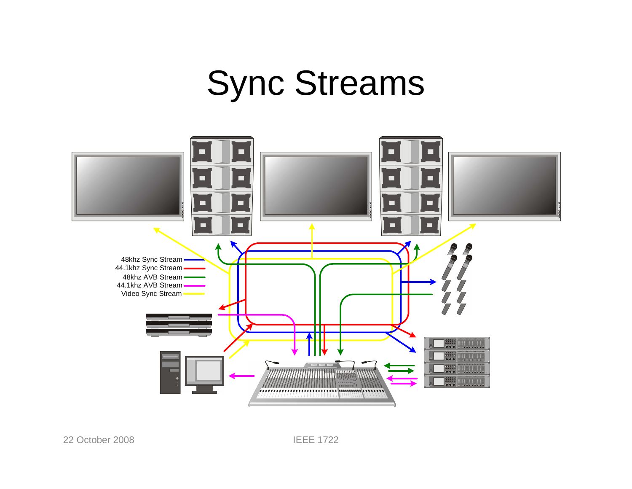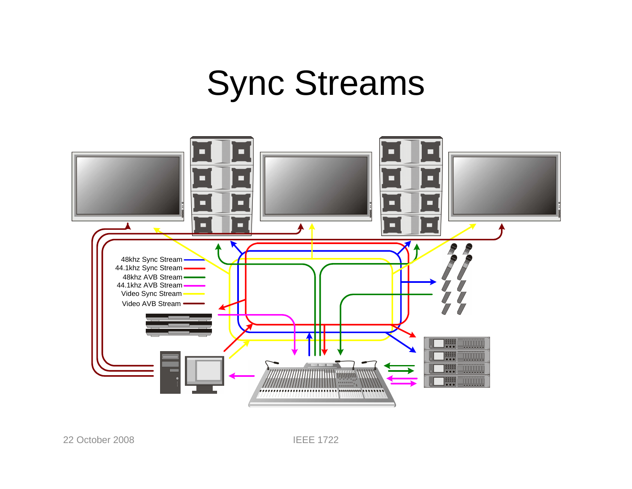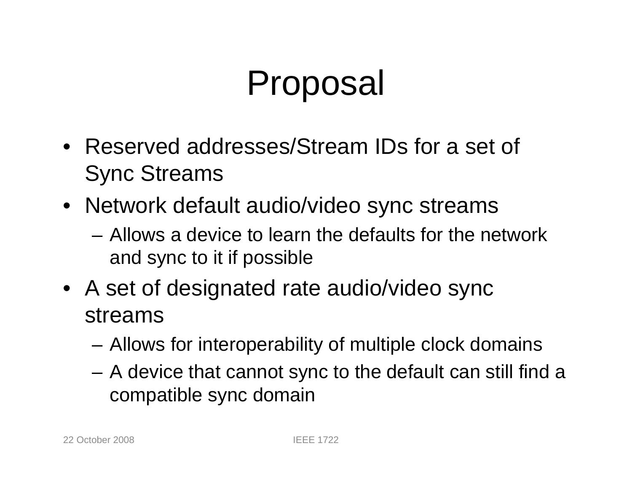## Proposal

- Reserved addresses/Stream IDs for a set of Sync Streams
- Network default audio/video sync streams
	- Allows a device to learn the defaults for the network and sync to it if possible
- A set of designated rate audio/video sync streams
	- Allows for interoperability of multiple clock domains
	- A device that cannot sync to the default can still find a compatible sync domain